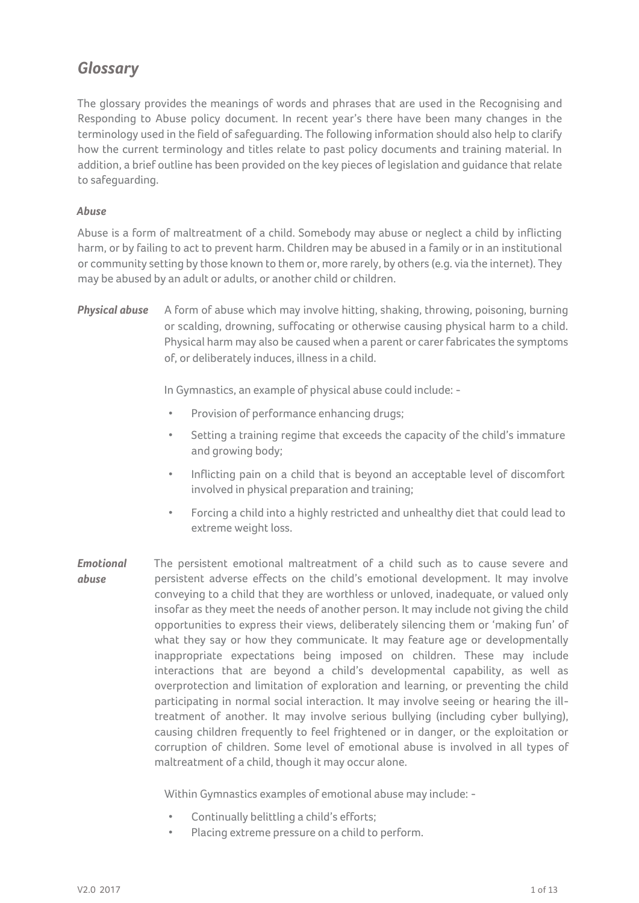# *Glossary*

The glossary provides the meanings of words and phrases that are used in the Recognising and Responding to Abuse policy document. In recent year's there have been many changes in the terminology used in the field of safeguarding. The following information should also help to clarify how the current terminology and titles relate to past policy documents and training material. In addition, a brief outline has been provided on the key pieces of legislation and guidance that relate to safeguarding.

#### *Abuse*

Abuse is a form of maltreatment of a child. Somebody may abuse or neglect a child by inflicting harm, or by failing to act to prevent harm. Children may be abused in a family or in an institutional or community setting by those known to them or, more rarely, by others (e.g. via the internet). They may be abused by an adult or adults, or another child or children.

*Physical abuse* A form of abuse which may involve hitting, shaking, throwing, poisoning, burning or scalding, drowning, suffocating or otherwise causing physical harm to a child. Physical harm may also be caused when a parent or carer fabricates the symptoms of, or deliberately induces, illness in a child.

In Gymnastics, an example of physical abuse could include: -

- Provision of performance enhancing drugs;
- Setting a training regime that exceeds the capacity of the child's immature and growing body;
- Inflicting pain on a child that is beyond an acceptable level of discomfort involved in physical preparation and training;
- Forcing a child into a highly restricted and unhealthy diet that could lead to extreme weight loss.
- The persistent emotional maltreatment of a child such as to cause severe and persistent adverse effects on the child's emotional development. It may involve conveying to a child that they are worthless or unloved, inadequate, or valued only insofar as they meet the needs of another person. It may include not giving the child opportunities to express their views, deliberately silencing them or 'making fun' of what they say or how they communicate. It may feature age or developmentally inappropriate expectations being imposed on children. These may include interactions that are beyond a child's developmental capability, as well as overprotection and limitation of exploration and learning, or preventing the child participating in normal social interaction. It may involve seeing or hearing the illtreatment of another. It may involve serious bullying (including cyber bullying), causing children frequently to feel frightened or in danger, or the exploitation or corruption of children. Some level of emotional abuse is involved in all types of maltreatment of a child, though it may occur alone. *Emotional abuse*

Within Gymnastics examples of emotional abuse may include: -

- Continually belittling a child's efforts;
- Placing extreme pressure on a child to perform.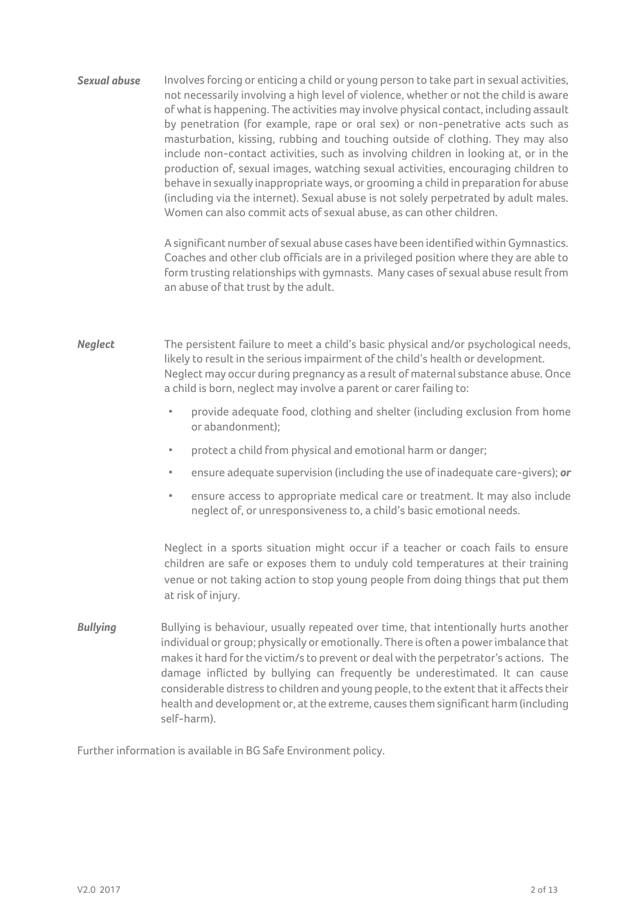**Sexual abuse** Involves forcing or enticing a child or young person to take part in sexual activities, not necessarily involving a high level of violence, whether or not the child is aware of what is happening. The activities may involve physical contact, including assault by penetration (for example, rape or oral sex) or non-penetrative acts such as masturbation, kissing, rubbing and touching outside of clothing. They may also include non-contact activities, such as involving children in looking at, or in the production of, sexual images, watching sexual activities, encouraging children to behave in sexually inappropriate ways, or grooming a child in preparation for abuse (including via the internet). Sexual abuse is not solely perpetrated by adult males. Women can also commit acts of sexual abuse, as can other children.

> A significant number of sexual abuse cases have been identified within Gymnastics. Coaches and other club officials are in a privileged position where they are able to form trusting relationships with gymnasts. Many cases of sexual abuse result from an abuse of that trust by the adult.

- *Neglect* The persistent failure to meet a child's basic physical and/or psychological needs, likely to result in the serious impairment of the child's health or development. Neglect may occur during pregnancy as a result of maternal substance abuse. Once a child is born, neglect may involve a parent or carer failing to:
	- provide adequate food, clothing and shelter (including exclusion from home or abandonment);
	- protect a child from physical and emotional harm or danger;
	- ensure adequate supervision (including the use of inadequate care-givers); *or*
	- ensure access to appropriate medical care or treatment. It may also include neglect of, or unresponsiveness to, a child's basic emotional needs.

Neglect in a sports situation might occur if a teacher or coach fails to ensure children are safe or exposes them to unduly cold temperatures at their training venue or not taking action to stop young people from doing things that put them at risk of injury.

**Bullying** Bullying is behaviour, usually repeated over time, that intentionally hurts another individual or group; physically or emotionally. There is often a power imbalance that makes it hard for the victim/s to prevent or deal with the perpetrator's actions. The damage inflicted by bullying can frequently be underestimated. It can cause considerable distress to children and young people, to the extent that it affects their health and development or, at the extreme, causes them significant harm (including self-harm).

Further information is available in BG Safe Environment policy.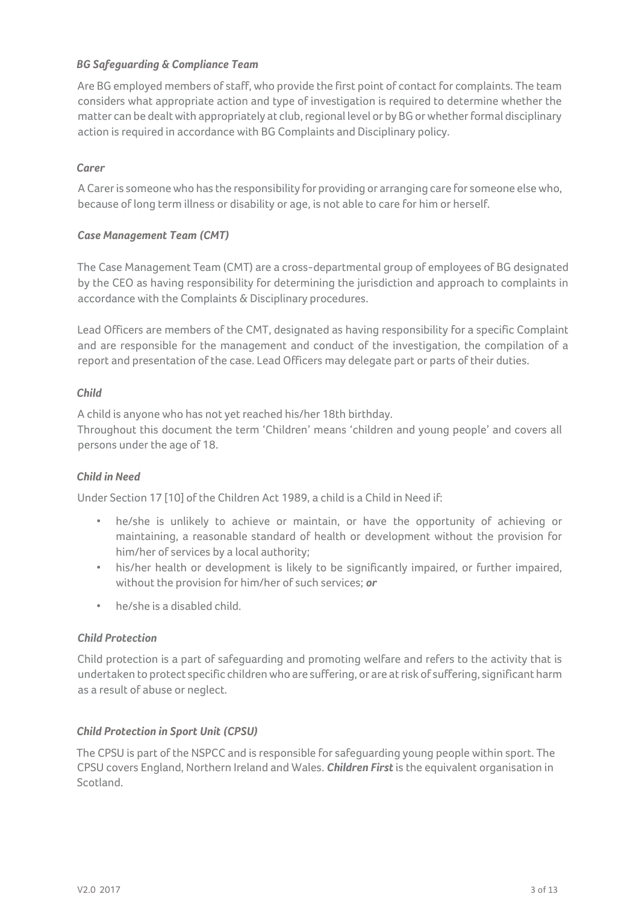### *BG Safeguarding & Compliance Team*

Are BG employed members of staff, who provide the first point of contact for complaints. The team considers what appropriate action and type of investigation is required to determine whether the matter can be dealt with appropriately at club, regional level or by BG or whether formal disciplinary action is required in accordance with BG Complaints and Disciplinary policy.

#### *Carer*

A Carer is someone who has the responsibility for providing or arranging care for someone else who, because of long term illness or disability or age, is not able to care for him or herself.

#### *Case Management Team (CMT)*

The Case Management Team (CMT) are a cross-departmental group of employees of BG designated by the CEO as having responsibility for determining the jurisdiction and approach to complaints in accordance with the Complaints & Disciplinary procedures.

Lead Officers are members of the CMT, designated as having responsibility for a specific Complaint and are responsible for the management and conduct of the investigation, the compilation of a report and presentation of the case. Lead Officers may delegate part or parts of their duties.

#### *Child*

A child is anyone who has not yet reached his/her 18th birthday.

Throughout this document the term 'Children' means 'children and young people' and covers all persons under the age of 18.

#### *Child in Need*

Under Section 17 [10] of the Children Act 1989, a child is a Child in Need if:

- he/she is unlikely to achieve or maintain, or have the opportunity of achieving or maintaining, a reasonable standard of health or development without the provision for him/her of services by a local authority;
- his/her health or development is likely to be significantly impaired, or further impaired, without the provision for him/her of such services; *or*
- he/she is a disabled child.

#### *Child Protection*

Child protection is a part of safeguarding and promoting welfare and refers to the activity that is undertaken to protect specific children who are suffering, or are at risk of suffering, significant harm as a result of abuse or neglect.

#### *Child Protection in Sport Unit (CPSU)*

The CPSU is part of the NSPCC and is responsible for safeguarding young people within sport. The CPSU covers England, Northern Ireland and Wales. *Children First* is the equivalent organisation in Scotland.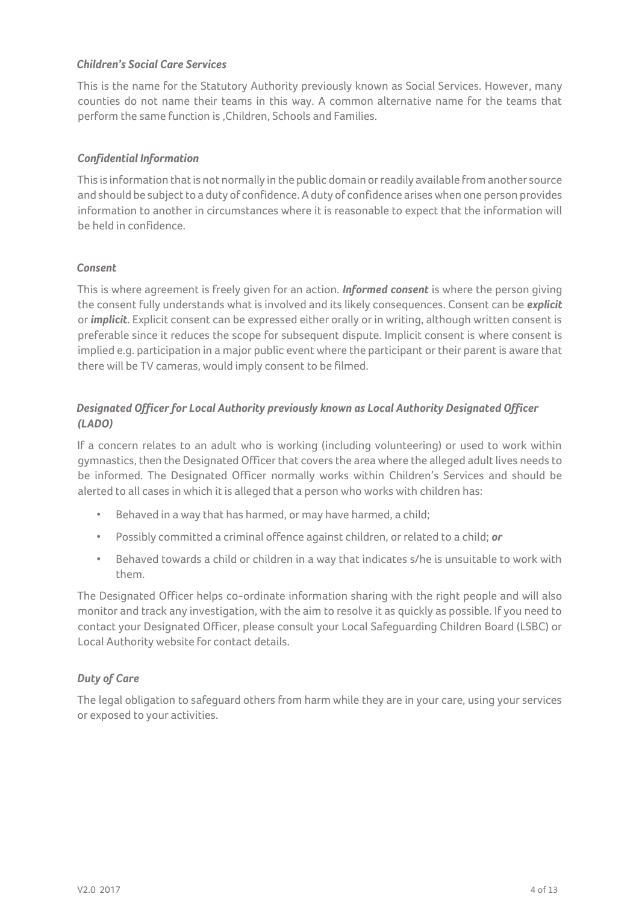#### *Children's Social Care Services*

This is the name for the Statutory Authority previously known as Social Services. However, many counties do not name their teams in this way. A common alternative name for the teams that perform the same function is , Children, Schools and Families.

#### *Confidential Information*

This is information that is not normally in the public domain or readily available from another source and should be subject to a duty of confidence. A duty of confidence arises when one person provides information to another in circumstances where it is reasonable to expect that the information will be held in confidence.

#### *Consent*

This is where agreement is freely given for an action. *Informed consent* is where the person giving the consent fully understands what is involved and its likely consequences. Consent can be *explicit* or *implicit*. Explicit consent can be expressed either orally or in writing, although written consent is preferable since it reduces the scope for subsequent dispute. Implicit consent is where consent is implied e.g. participation in a major public event where the participant or their parent is aware that there will be TV cameras, would imply consent to be filmed.

## *Designated Officer for Local Authority previously known as Local Authority Designated Officer (LADO)*

If a concern relates to an adult who is working (including volunteering) or used to work within gymnastics, then the Designated Officer that covers the area where the alleged adult lives needs to be informed. The Designated Officer normally works within Children's Services and should be alerted to all cases in which it is alleged that a person who works with children has:

- Behaved in a way that has harmed, or may have harmed, a child;
- Possibly committed a criminal offence against children, or related to a child; *or*
- Behaved towards a child or children in a way that indicates s/he is unsuitable to work with them.

The Designated Officer helps co-ordinate information sharing with the right people and will also monitor and track any investigation, with the aim to resolve it as quickly as possible. If you need to contact your Designated Officer, please consult your Local Safeguarding Children Board (LSBC) or Local Authority website for contact details.

#### *Duty of Care*

The legal obligation to safeguard others from harm while they are in your care, using your services or exposed to your activities.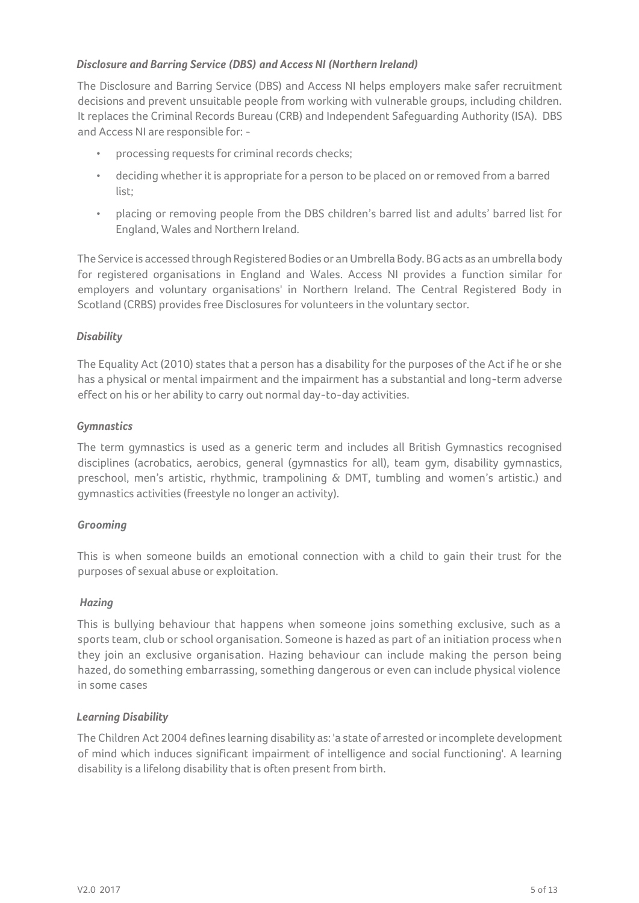### *Disclosure and Barring Service (DBS) and Access NI (Northern Ireland)*

The Disclosure and Barring Service (DBS) and Access NI helps employers make safer recruitment decisions and prevent unsuitable people from working with vulnerable groups, including children. It replaces the Criminal Records Bureau (CRB) and Independent Safeguarding Authority (ISA). DBS and Access NI are responsible for: -

- processing requests for criminal records checks;
- deciding whether it is appropriate for a person to be placed on or removed from a barred list;
- placing or removing people from the DBS children's barred list and adults' barred list for England, Wales and Northern Ireland.

The Service is accessed through Registered Bodies or an Umbrella Body. BG acts as an umbrella body for registered organisations in England and Wales. Access NI provides a function similar for employers and voluntary organisations' in Northern Ireland. The Central Registered Body in Scotland (CRBS) provides free Disclosures for volunteers in the voluntary sector.

#### *Disability*

The Equality Act (2010) states that a person has a disability for the purposes of the Act if he or she has a physical or mental impairment and the impairment has a substantial and long-term adverse effect on his or her ability to carry out normal day-to-day activities.

#### *Gymnastics*

The term gymnastics is used as a generic term and includes all British Gymnastics recognised disciplines (acrobatics, aerobics, general (gymnastics for all), team gym, disability gymnastics, preschool, men's artistic, rhythmic, trampolining & DMT, tumbling and women's artistic.) and gymnastics activities (freestyle no longer an activity).

#### *Grooming*

This is when someone builds an emotional connection with a child to gain their trust for the purposes of sexual abuse or exploitation.

#### *Hazing*

This is bullying behaviour that happens when someone joins something exclusive, such as a sports team, club or school organisation. Someone is hazed as part of an initiation process when they join an exclusive organisation. Hazing behaviour can include making the person being hazed, do something embarrassing, something dangerous or even can include physical violence in some cases

#### *Learning Disability*

The Children Act 2004 defines learning disability as: 'a state of arrested or incomplete development of mind which induces significant impairment of intelligence and social functioning'. A learning disability is a lifelong disability that is often present from birth.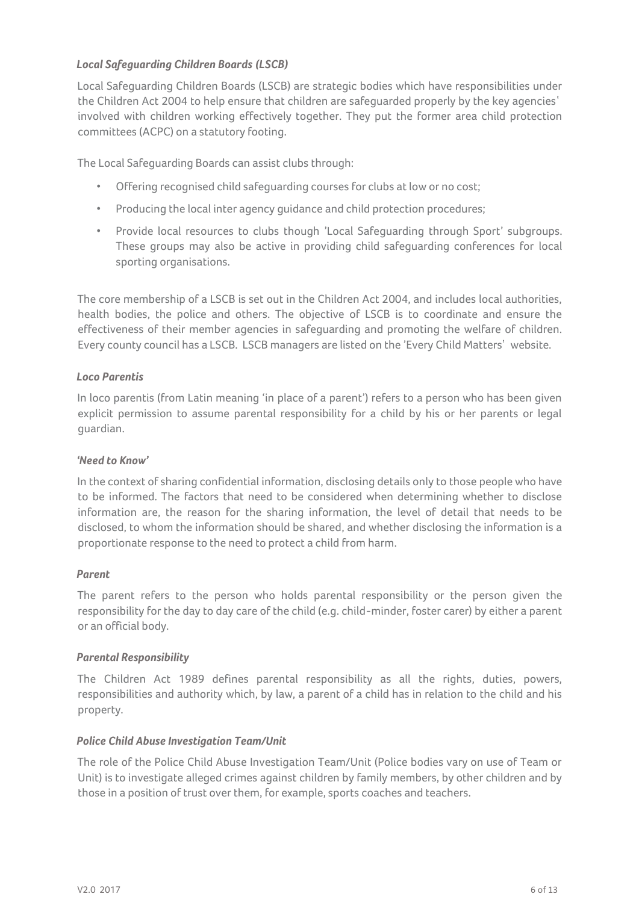### *Local Safeguarding Children Boards (LSCB)*

Local Safeguarding Children Boards (LSCB) are strategic bodies which have responsibilities under the Children Act 2004 to help ensure that children are safeguarded properly by the key agencies' involved with children working effectively together. They put the former area child protection committees (ACPC) on a statutory footing.

The Local Safeguarding Boards can assist clubs through:

- Offering recognised child safeguarding courses for clubs at low or no cost;
- Producing the local inter agency guidance and child protection procedures;
- Provide local resources to clubs though 'Local Safeguarding through Sport' subgroups. These groups may also be active in providing child safeguarding conferences for local sporting organisations.

The core membership of a LSCB is set out in the Children Act 2004, and includes local authorities, health bodies, the police and others. The objective of LSCB is to coordinate and ensure the effectiveness of their member agencies in safeguarding and promoting the welfare of children. Every county council has a LSCB. LSCB managers are listed on the 'Every Child Matters' website.

#### *Loco Parentis*

In loco parentis (from Latin meaning 'in place of a parent') refers to a person who has been given explicit permission to assume parental responsibility for a child by his or her parents or legal guardian.

#### *'Need to Know'*

In the context of sharing confidential information, disclosing details only to those people who have to be informed. The factors that need to be considered when determining whether to disclose information are, the reason for the sharing information, the level of detail that needs to be disclosed, to whom the information should be shared, and whether disclosing the information is a proportionate response to the need to protect a child from harm.

#### *Parent*

The parent refers to the person who holds parental responsibility or the person given the responsibility for the day to day care of the child (e.g. child-minder, foster carer) by either a parent or an official body.

#### *Parental Responsibility*

The Children Act 1989 defines parental responsibility as all the rights, duties, powers, responsibilities and authority which, by law, a parent of a child has in relation to the child and his property.

#### *Police Child Abuse Investigation Team/Unit*

The role of the Police Child Abuse Investigation Team/Unit (Police bodies vary on use of Team or Unit) is to investigate alleged crimes against children by family members, by other children and by those in a position of trust over them, for example, sports coaches and teachers.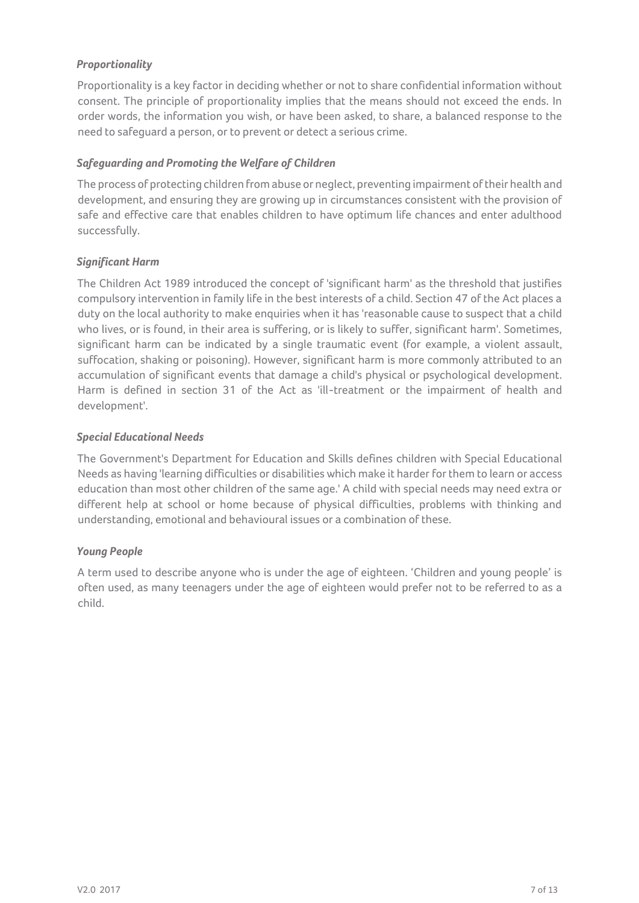## *Proportionality*

Proportionality is a key factor in deciding whether or not to share confidential information without consent. The principle of proportionality implies that the means should not exceed the ends. In order words, the information you wish, or have been asked, to share, a balanced response to the need to safeguard a person, or to prevent or detect a serious crime.

#### *Safeguarding and Promoting the Welfare of Children*

The process of protecting children from abuse or neglect, preventing impairment of their health and development, and ensuring they are growing up in circumstances consistent with the provision of safe and effective care that enables children to have optimum life chances and enter adulthood successfully.

#### *Significant Harm*

The Children Act 1989 introduced the concept of 'significant harm' as the threshold that justifies compulsory intervention in family life in the best interests of a child. Section 47 of the Act places a duty on the local authority to make enquiries when it has 'reasonable cause to suspect that a child who lives, or is found, in their area is suffering, or is likely to suffer, significant harm'. Sometimes, significant harm can be indicated by a single traumatic event (for example, a violent assault, suffocation, shaking or poisoning). However, significant harm is more commonly attributed to an accumulation of significant events that damage a child's physical or psychological development. Harm is defined in section 31 of the Act as 'ill-treatment or the impairment of health and development'.

### *Special Educational Needs*

The Government's Department for Education and Skills defines children with Special Educational Needs as having 'learning difficulties or disabilities which make it harder for them to learn or access education than most other children of the same age.' A child with special needs may need extra or different help at school or home because of physical difficulties, problems with thinking and understanding, emotional and behavioural issues or a combination of these.

#### *Young People*

A term used to describe anyone who is under the age of eighteen. 'Children and young people' is often used, as many teenagers under the age of eighteen would prefer not to be referred to as a child.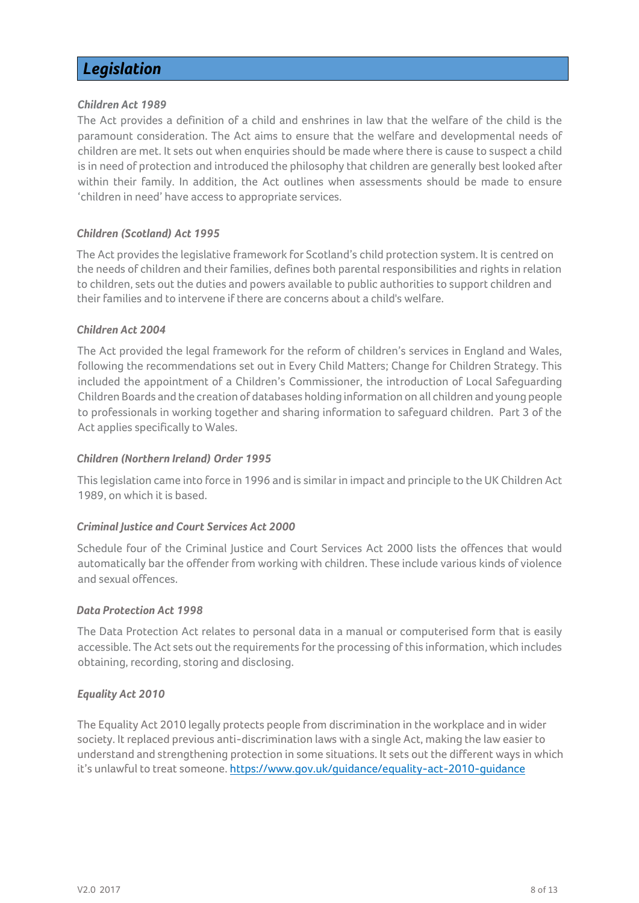# *Legislation*

#### *Children Act 1989*

The Act provides a definition of a child and enshrines in law that the welfare of the child is the paramount consideration. The Act aims to ensure that the welfare and developmental needs of children are met. It sets out when enquiries should be made where there is cause to suspect a child is in need of protection and introduced the philosophy that children are generally best looked after within their family. In addition, the Act outlines when assessments should be made to ensure 'children in need' have access to appropriate services.

#### *[Children \(Scotland\) Act 1995](http://www.legislation.gov.uk/ukpga/1995/36/contents)*

The Act provides the legislative framework for Scotland's child protection system. It is centred on the needs of children and their families, defines both parental responsibilities and rights in relation to children, sets out the duties and powers available to public authorities to support children and their families and to intervene if there are concerns about a child's welfare.

#### *Children Act 2004*

The Act provided the legal framework for the reform of children's services in England and Wales, following the recommendations set out in Every Child Matters; Change for Children Strategy. This included the appointment of a Children's Commissioner, the introduction of Local Safeguarding Children Boards and the creation of databases holding information on all children and young people to professionals in working together and sharing information to safeguard children. Part 3 of the Act applies specifically to Wales.

#### *Children (Northern Ireland) Order 1995*

This legislation came into force in 1996 and is similar in impact and principle to the UK Children Act 1989, on which it is based.

#### *Criminal Justice and Court Services Act 2000*

Schedule four of the Criminal Justice and Court Services Act 2000 lists the offences that would automatically bar the offender from working with children. These include various kinds of violence and sexual offences.

#### *Data Protection Act 1998*

The Data Protection Act relates to personal data in a manual or computerised form that is easily accessible. The Act sets out the requirements for the processing of this information, which includes obtaining, recording, storing and disclosing.

#### *Equality Act 2010*

The Equality Act 2010 legally protects people from discrimination in the workplace and in wider society. It replaced previous anti-discrimination laws with a single Act, making the law easier to understand and strengthening protection in some situations. It sets out the different ways in which it's unlawful to treat someone[. https://www.gov.uk/guidance/equality-act-2010-guidance](https://www.gov.uk/guidance/equality-act-2010-guidance)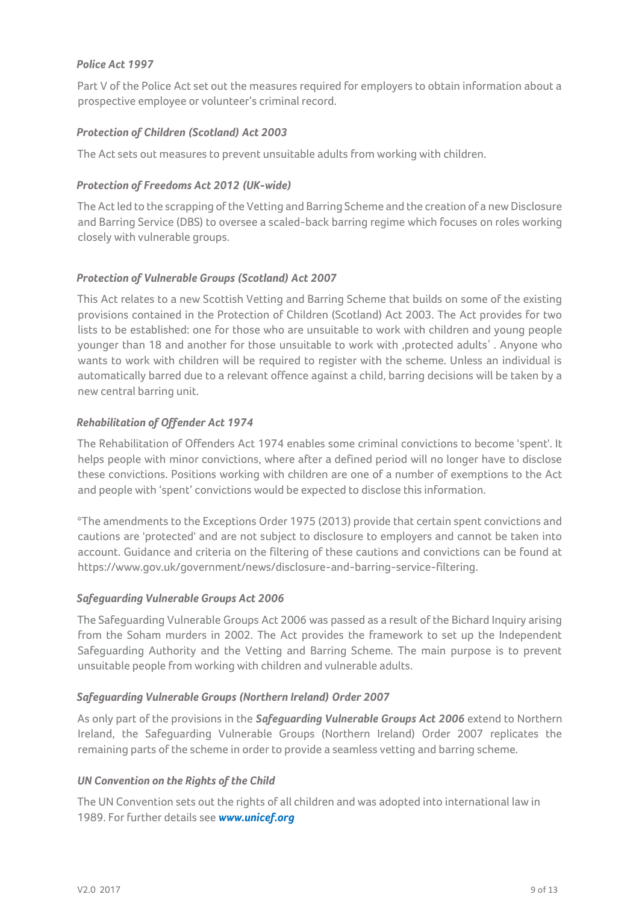#### *Police Act 1997*

Part V of the Police Act set out the measures required for employers to obtain information about a prospective employee or volunteer's criminal record.

#### *Protection of Children (Scotland) Act 2003*

The Act sets out measures to prevent unsuitable adults from working with children.

#### *Protection of Freedoms Act 2012 (UK-wide)*

The Act led to the scrapping of the Vetting and Barring Scheme and the creation of a new Disclosure and Barring Service (DBS) to oversee a scaled-back barring regime which focuses on roles working closely with vulnerable groups.

### *Protection of Vulnerable Groups (Scotland) Act 2007*

This Act relates to a new Scottish Vetting and Barring Scheme that builds on some of the existing provisions contained in the Protection of Children (Scotland) Act 2003. The Act provides for two lists to be established: one for those who are unsuitable to work with children and young people younger than 18 and another for those unsuitable to work with ,protected adults'. Anyone who wants to work with children will be required to register with the scheme. Unless an individual is automatically barred due to a relevant offence against a child, barring decisions will be taken by a new central barring unit.

### *Rehabilitation of Offender Act 1974*

The Rehabilitation of Offenders Act 1974 enables some criminal convictions to become 'spent'. It helps people with minor convictions, where after a defined period will no longer have to disclose these convictions. Positions working with children are one of a number of exemptions to the Act and people with 'spent' convictions would be expected to disclose this information.

\*The amendments to the Exceptions Order 1975 (2013) provide that certain spent convictions and cautions are 'protected' and are not subject to disclosure to employers and cannot be taken into account. Guidance and criteria on the filtering of these cautions and convictions can be found at [https://www.gov.uk/government/news/disclosure-and-barring-service-filtering.](https://www.gov.uk/government/news/disclosure-and-barring-service-filtering)

#### *Safeguarding Vulnerable Groups Act 2006*

The Safeguarding Vulnerable Groups Act 2006 was passed as a result of the Bichard Inquiry arising from the Soham murders in 2002. The Act provides the framework to set up the Independent Safeguarding Authority and the Vetting and Barring Scheme. The main purpose is to prevent unsuitable people from working with children and vulnerable adults.

#### *Safeguarding Vulnerable Groups (Northern Ireland) Order 2007*

As only part of the provisions in the *Safeguarding Vulnerable Groups Act 2006* extend to Northern Ireland, the Safeguarding Vulnerable Groups (Northern Ireland) Order 2007 replicates the remaining parts of the scheme in order to provide a seamless vetting and barring scheme.

#### *UN Convention on the Rights of the Child*

The UN Convention sets out the rights of all children and was adopted into international law in 1989. For further details se[e](http://www.unicef.org/) *[www.unicef.org](http://www.unicef.org/)*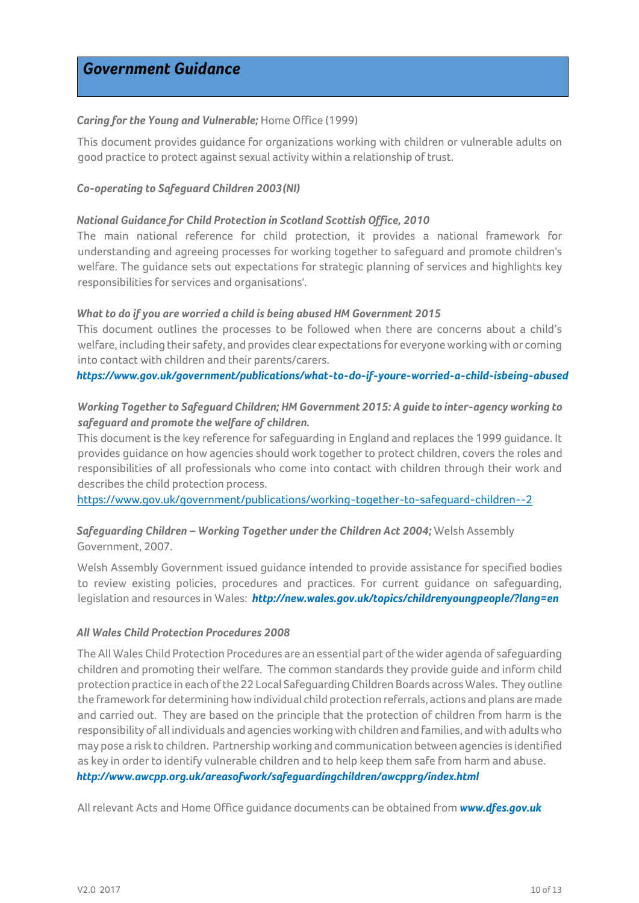# *Government Guidance*

#### *Caring for the Young and Vulnerable;* Home Office (1999)

This document provides guidance for organizations working with children or vulnerable adults on good practice to protect against sexual activity within a relationship of trust.

#### *Co-operating to Safeguard Children 2003(NI)*

#### *National Guidance for Child Protection in Scotland Scottish Office, 2010*

The main national reference for child protection, it provides a national framework for understanding and agreeing processes for working together to safeguard and promote children's welfare. The guidance sets out expectations for strategic planning of services and highlights key responsibilities for services and organisations'.

#### *What to do if you are worried a child is being abused HM Government 2015*

This document outlines the processes to be followed when there are concerns about a child's welfare, including their safety, and provides clear expectations for everyone working with or coming into contact with children and their parents/carers.

*[https://www.gov.uk/government/publications/what-to-do-if-youre-worried-a-child-isbeing-abused](https://www.gov.uk/government/publications/what-to-do-if-youre-worried-a-child-is-being-abused)*

### *Working Together to Safeguard Children; HM Government 2015: A guide to inter-agency working to safeguard and promote the welfare of children.*

This document is the key reference for safeguarding in England and replaces the 1999 guidance. It provides guidance on how agencies should work together to protect children, covers the roles and responsibilities of all professionals who come into contact with children through their work and describes the child protection process.

<https://www.gov.uk/government/publications/working-together-to-safeguard-children--2>

## *Safeguarding Children – Working Together under the Children Act 2004;* Welsh Assembly Government, 2007.

Welsh Assembly Government issued guidance intended to provide assistance for specified bodies to review existing policies, procedures and practices. For current guidance on safeguarding, legislation and resources in Wales: *<http://new.wales.gov.uk/topics/childrenyoungpeople/?lang=en>*

#### *All Wales Child Protection Procedures 2008*

The All Wales Child Protection Procedures are an essential part of the wider agenda of safeguarding children and promoting their welfare. The common standards they provide guide and inform child protection practice in each of the 22 Local Safeguarding Children Boards across Wales. They outline the framework for determining how individual child protection referrals, actions and plans are made and carried out. They are based on the principle that the protection of children from harm is the responsibility of all individuals and agencies working with children and families, and with adults who may pose a risk to children. Partnership working and communication between agencies is identified as key in order to identify vulnerable children and to help keep them safe from harm and abuse. *<http://www.awcpp.org.uk/areasofwork/safeguardingchildren/awcpprg/index.html>*

All relevant Acts and Home Office guidance documents can be obtained fr[om](http://www.dfes.gov.uk/) *[www.dfes.gov.uk](http://www.dfes.gov.uk/)*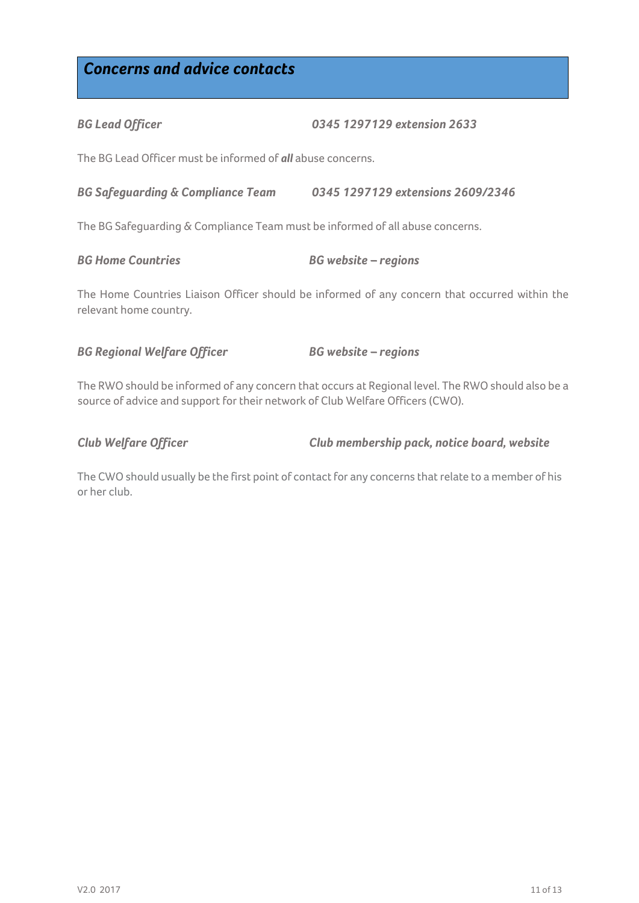# *Concerns and advice contacts*

#### *BG Lead Officer 0345 1297129 extension 2633*

The BG Lead Officer must be informed of *all* abuse concerns.

### *BG Safeguarding & Compliance Team 0345 1297129 extensions 2609/2346*

The BG Safeguarding & Compliance Team must be informed of all abuse concerns.

#### *BG Home Countries BG website – regions*

The Home Countries Liaison Officer should be informed of any concern that occurred within the relevant home country.

#### *BG Regional Welfare Officer BG website – regions*

The RWO should be informed of any concern that occurs at Regional level. The RWO should also be a source of advice and support for their network of Club Welfare Officers (CWO).

*Club Welfare Officer Club membership pack, notice board, website*

The CWO should usually be the first point of contact for any concerns that relate to a member of his or her club.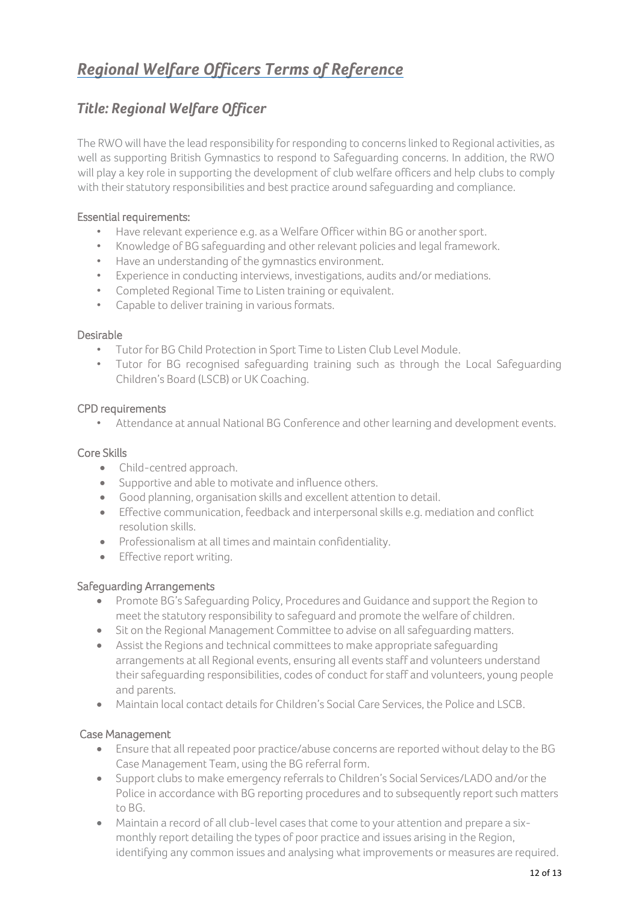# *Regional Welfare Officers Terms of Reference*

# *Title: Regional Welfare Officer*

The RWO will have the lead responsibility for responding to concerns linked to Regional activities, as well as supporting British Gymnastics to respond to Safeguarding concerns. In addition, the RWO will play a key role in supporting the development of club welfare officers and help clubs to comply with their statutory responsibilities and best practice around safeguarding and compliance.

### Essential requirements:

- Have relevant experience e.g. as a Welfare Officer within BG or another sport.
- Knowledge of BG safeguarding and other relevant policies and legal framework.
- Have an understanding of the gymnastics environment.
- Experience in conducting interviews, investigations, audits and/or mediations.
- Completed Regional Time to Listen training or equivalent.
- Capable to deliver training in various formats.

#### Desirable

- Tutor for BG Child Protection in Sport Time to Listen Club Level Module.
- Tutor for BG recognised safeguarding training such as through the Local Safeguarding Children's Board (LSCB) or UK Coaching.

#### CPD requirements

• Attendance at annual National BG Conference and other learning and development events.

#### Core Skills

- Child-centred approach.
- Supportive and able to motivate and influence others.
- Good planning, organisation skills and excellent attention to detail.
- Effective communication, feedback and interpersonal skills e.g. mediation and conflict resolution skills.
- Professionalism at all times and maintain confidentiality.
- Effective report writing.

#### Safeguarding Arrangements

- Promote BG's Safeguarding Policy, Procedures and Guidance and support the Region to meet the statutory responsibility to safeguard and promote the welfare of children.
- Sit on the Regional Management Committee to advise on all safeguarding matters.
- Assist the Regions and technical committees to make appropriate safeguarding arrangements at all Regional events, ensuring all events staff and volunteers understand their safeguarding responsibilities, codes of conduct for staff and volunteers, young people and parents.
- Maintain local contact details for Children's Social Care Services, the Police and LSCB.

#### Case Management

- Ensure that all repeated poor practice/abuse concerns are reported without delay to the BG Case Management Team, using the BG referral form.
- Support clubs to make emergency referrals to Children's Social Services/LADO and/or the Police in accordance with BG reporting procedures and to subsequently report such matters to BG.
- Maintain a record of all club-level cases that come to your attention and prepare a sixmonthly report detailing the types of poor practice and issues arising in the Region, identifying any common issues and analysing what improvements or measures are required.